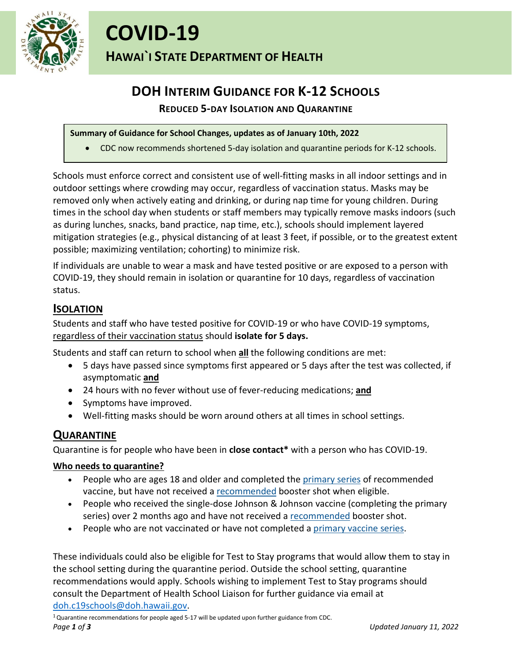

# **DOH INTERIM GUIDANCE FOR K-12 SCHOOLS**

# **REDUCED 5-DAY ISOLATION AND QUARANTINE**

#### **Summary of Guidance for School Changes, updates as of January 10th, 2022**

• CDC now recommends shortened 5-day isolation and quarantine periods for K-12 schools.

Schools must enforce correct and consistent use of well-fitting masks in all indoor settings and in outdoor settings where crowding may occur, regardless of vaccination status. Masks may be removed only when actively eating and drinking, or during nap time for young children. During times in the school day when students or staff members may typically remove masks indoors (such as during lunches, snacks, band practice, nap time, etc.), schools should implement layered mitigation strategies (e.g., physical distancing of at least 3 feet, if possible, or to the greatest extent possible; maximizing ventilation; cohorting) to minimize risk.

If individuals are unable to wear a mask and have tested positive or are exposed to a person with COVID-19, they should remain in isolation or quarantine for 10 days, regardless of vaccination status.

# **ISOLATION**

Students and staff who have tested positive for COVID-19 or who have COVID-19 symptoms, regardless of their vaccination status should **isolate for 5 days.**

Students and staff can return to school when **all** the following conditions are met:

- 5 days have passed since symptoms first appeared or 5 days after the test was collected, if asymptomatic **and**
- 24 hours with no fever without use of fever-reducing medications; **and**
- Symptoms have improved.
- Well-fitting masks should be worn around others at all times in school settings.

# **QUARANTINE**

Quarantine is for people who have been in **close contact\*** with a person who has COVID-19.

## **Who needs to quarantine?**

- People who are ages 18 and older and completed the [primary series](https://www.cdc.gov/coronavirus/2019-ncov/vaccines/stay-up-to-date.html) of recommended vaccine, but have not received a [recommended](https://www.cdc.gov/coronavirus/2019-ncov/vaccines/booster-shot.html) booster shot when eligible.
- People who received the single-dose Johnson & Johnson vaccine (completing the primary series) over 2 months ago and have not received a [recommended](https://www.cdc.gov/coronavirus/2019-ncov/vaccines/booster-shot.html) booster shot.
- People who are not vaccinated or have not completed a [primary vaccine series.](https://www.cdc.gov/coronavirus/2019-ncov/vaccines/stay-up-to-date.html)

These individuals could also be eligible for Test to Stay programs that would allow them to stay in the school setting during the quarantine period. Outside the school setting, quarantine recommendations would apply. Schools wishing to implement Test to Stay programs should consult the Department of Health School Liaison for further guidance via email at [doh.c19schools@doh.hawaii.gov.](mailto:doh.c19schools@doh.hawaii.gov)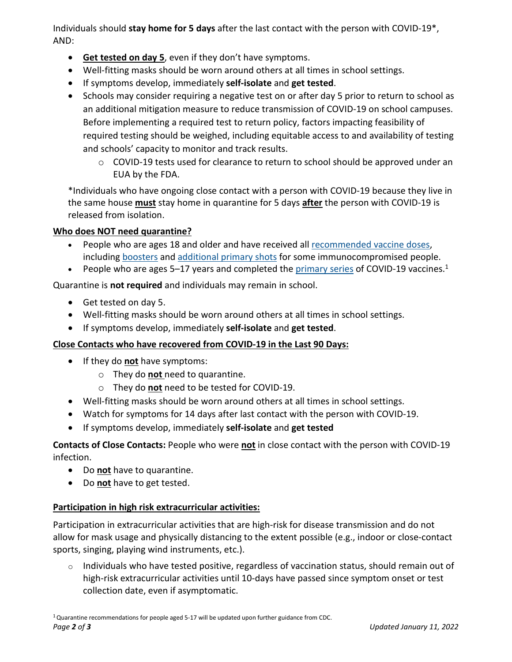Individuals should **stay home for 5 days** after the last contact with the person with COVID-19\*, AND:

- **Get tested on day 5**, even if they don't have symptoms.
- Well-fitting masks should be worn around others at all times in school settings.
- If symptoms develop, immediately **self-isolate** and **get tested**.
- Schools may consider requiring a negative test on or after day 5 prior to return to school as an additional mitigation measure to reduce transmission of COVID-19 on school campuses. Before implementing a required test to return policy, factors impacting feasibility of required testing should be weighed, including equitable access to and availability of testing and schools' capacity to monitor and track results.
	- $\circ$  COVID-19 tests used for clearance to return to school should be approved under an EUA by the FDA.

\*Individuals who have ongoing close contact with a person with COVID-19 because they live in the same house **must** stay home in quarantine for 5 days **after** the person with COVID-19 is released from isolation.

## **Who does NOT need quarantine?**

- People who are ages 18 and older and have received all [recommended vaccine doses,](https://www.cdc.gov/coronavirus/2019-ncov/vaccines/stay-up-to-date.html) including [boosters](https://www.cdc.gov/coronavirus/2019-ncov/vaccines/booster-shot.html) and [additional primary shots](https://www.cdc.gov/coronavirus/2019-ncov/vaccines/recommendations/immuno.html) for some immunocompromised people.
- People who are ages 5–17 years and completed the [primary series](https://www.cdc.gov/coronavirus/2019-ncov/vaccines/stay-up-to-date.html) of COVID-19 vaccines.<sup>1</sup>

Quarantine is **not required** and individuals may remain in school.

- Get tested on day 5.
- Well-fitting masks should be worn around others at all times in school settings.
- If symptoms develop, immediately **self-isolate** and **get tested**.

## **Close Contacts who have recovered from COVID-19 in the Last 90 Days:**

- If they do **not** have symptoms:
	- o They do **not** need to quarantine.
	- o They do **not** need to be tested for COVID-19.
- Well-fitting masks should be worn around others at all times in school settings.
- Watch for symptoms for 14 days after last contact with the person with COVID-19.
- If symptoms develop, immediately **self-isolate** and **get tested**

**Contacts of Close Contacts:** People who were **not** in close contact with the person with COVID-19 infection.

- Do **not** have to quarantine.
- Do **not** have to get tested.

## **Participation in high risk extracurricular activities:**

Participation in extracurricular activities that are high-risk for disease transmission and do not allow for mask usage and physically distancing to the extent possible (e.g., indoor or close-contact sports, singing, playing wind instruments, etc.).

 $\circ$  Individuals who have tested positive, regardless of vaccination status, should remain out of high-risk extracurricular activities until 10-days have passed since symptom onset or test collection date, even if asymptomatic.